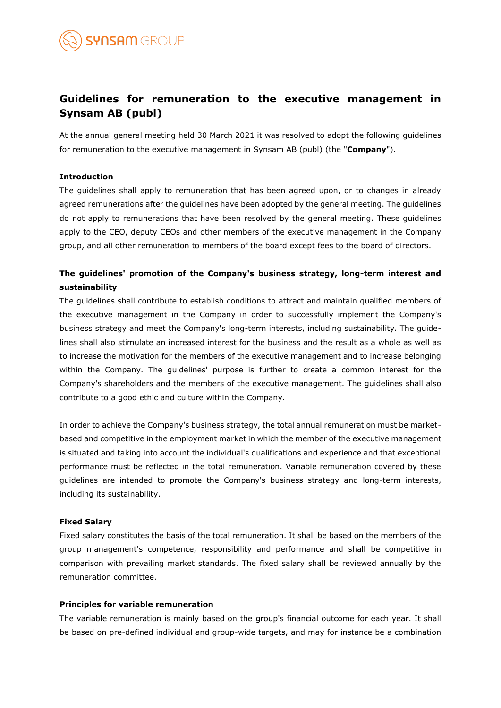

# **Guidelines for remuneration to the executive management in Synsam AB (publ)**

At the annual general meeting held 30 March 2021 it was resolved to adopt the following guidelines for remuneration to the executive management in Synsam AB (publ) (the "**Company**").

### **Introduction**

The guidelines shall apply to remuneration that has been agreed upon, or to changes in already agreed remunerations after the guidelines have been adopted by the general meeting. The guidelines do not apply to remunerations that have been resolved by the general meeting. These guidelines apply to the CEO, deputy CEOs and other members of the executive management in the Company group, and all other remuneration to members of the board except fees to the board of directors.

# **The guidelines' promotion of the Company's business strategy, long-term interest and sustainability**

The guidelines shall contribute to establish conditions to attract and maintain qualified members of the executive management in the Company in order to successfully implement the Company's business strategy and meet the Company's long-term interests, including sustainability. The guidelines shall also stimulate an increased interest for the business and the result as a whole as well as to increase the motivation for the members of the executive management and to increase belonging within the Company. The guidelines' purpose is further to create a common interest for the Company's shareholders and the members of the executive management. The guidelines shall also contribute to a good ethic and culture within the Company.

In order to achieve the Company's business strategy, the total annual remuneration must be marketbased and competitive in the employment market in which the member of the executive management is situated and taking into account the individual's qualifications and experience and that exceptional performance must be reflected in the total remuneration. Variable remuneration covered by these guidelines are intended to promote the Company's business strategy and long-term interests, including its sustainability.

# **Fixed Salary**

Fixed salary constitutes the basis of the total remuneration. It shall be based on the members of the group management's competence, responsibility and performance and shall be competitive in comparison with prevailing market standards. The fixed salary shall be reviewed annually by the remuneration committee.

# **Principles for variable remuneration**

The variable remuneration is mainly based on the group's financial outcome for each year. It shall be based on pre-defined individual and group-wide targets, and may for instance be a combination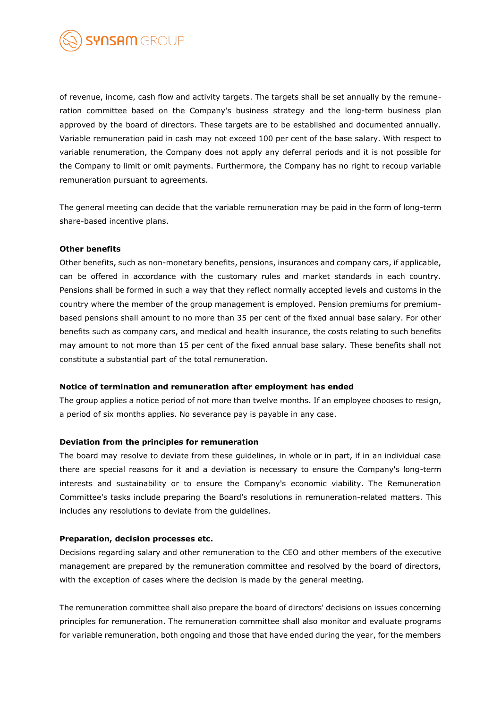

of revenue, income, cash flow and activity targets. The targets shall be set annually by the remuneration committee based on the Company's business strategy and the long-term business plan approved by the board of directors. These targets are to be established and documented annually. Variable remuneration paid in cash may not exceed 100 per cent of the base salary. With respect to variable renumeration, the Company does not apply any deferral periods and it is not possible for the Company to limit or omit payments. Furthermore, the Company has no right to recoup variable remuneration pursuant to agreements.

The general meeting can decide that the variable remuneration may be paid in the form of long-term share-based incentive plans.

### **Other benefits**

Other benefits, such as non-monetary benefits, pensions, insurances and company cars, if applicable, can be offered in accordance with the customary rules and market standards in each country. Pensions shall be formed in such a way that they reflect normally accepted levels and customs in the country where the member of the group management is employed. Pension premiums for premiumbased pensions shall amount to no more than 35 per cent of the fixed annual base salary. For other benefits such as company cars, and medical and health insurance, the costs relating to such benefits may amount to not more than 15 per cent of the fixed annual base salary. These benefits shall not constitute a substantial part of the total remuneration.

#### **Notice of termination and remuneration after employment has ended**

The group applies a notice period of not more than twelve months. If an employee chooses to resign, a period of six months applies. No severance pay is payable in any case.

#### **Deviation from the principles for remuneration**

The board may resolve to deviate from these guidelines, in whole or in part, if in an individual case there are special reasons for it and a deviation is necessary to ensure the Company's long-term interests and sustainability or to ensure the Company's economic viability. The Remuneration Committee's tasks include preparing the Board's resolutions in remuneration-related matters. This includes any resolutions to deviate from the guidelines.

## **Preparation, decision processes etc.**

Decisions regarding salary and other remuneration to the CEO and other members of the executive management are prepared by the remuneration committee and resolved by the board of directors, with the exception of cases where the decision is made by the general meeting.

The remuneration committee shall also prepare the board of directors' decisions on issues concerning principles for remuneration. The remuneration committee shall also monitor and evaluate programs for variable remuneration, both ongoing and those that have ended during the year, for the members